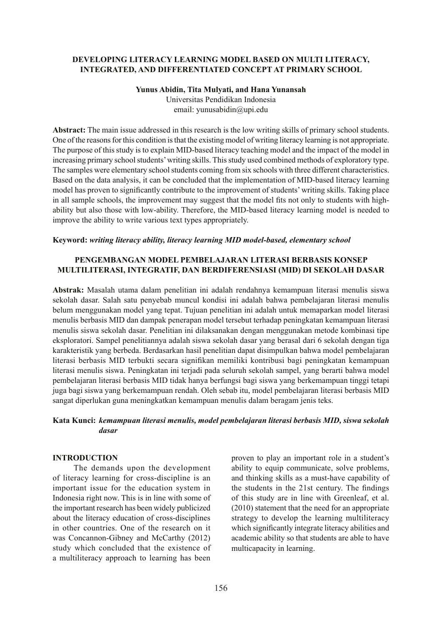## **DEVELOPING LITERACY LEARNING MODEL BASED ON MULTI LITERACY, INTEGRATED, AND DIFFERENTIATED CONCEPT AT PRIMARY SCHOOL**

#### **Yunus Abidin, Tita Mulyati, and Hana Yunansah** Universitas Pendidikan Indonesia

email: yunusabidin@upi.edu

**Abstract:** The main issue addressed in this research is the low writing skills of primary school students. One of the reasons for this condition is that the existing model of writing literacy learning is not appropriate. The purpose of this study is to explain MID-based literacy teaching model and the impact of the model in increasing primary school students' writing skills. This study used combined methods of exploratory type. The samples were elementary school students coming from six schools with three different characteristics. Based on the data analysis, it can be concluded that the implementation of MID-based literacy learning model has proven to significantly contribute to the improvement of students' writing skills. Taking place in all sample schools, the improvement may suggest that the model fits not only to students with highability but also those with low-ability. Therefore, the MID-based literacy learning model is needed to improve the ability to write various text types appropriately.

### **Keyword:** *writing literacy ability, literacy learning MID model-based, elementary school*

### **PENGEMBANGAN MODEL PEMBELAJARAN LITERASI BERBASIS KONSEP MULTILITERASI, INTEGRATIF, DAN BERDIFERENSIASI (MID) DI SEKOLAH DASAR**

**Abstrak:** Masalah utama dalam penelitian ini adalah rendahnya kemampuan literasi menulis siswa sekolah dasar. Salah satu penyebab muncul kondisi ini adalah bahwa pembelajaran literasi menulis belum menggunakan model yang tepat. Tujuan penelitian ini adalah untuk memaparkan model literasi menulis berbasis MID dan dampak penerapan model tersebut terhadap peningkatan kemampuan literasi menulis siswa sekolah dasar. Penelitian ini dilaksanakan dengan menggunakan metode kombinasi tipe eksploratori. Sampel penelitiannya adalah siswa sekolah dasar yang berasal dari 6 sekolah dengan tiga karakteristik yang berbeda. Berdasarkan hasil penelitian dapat disimpulkan bahwa model pembelajaran literasi berbasis MID terbukti secara signifikan memiliki kontribusi bagi peningkatan kemampuan literasi menulis siswa. Peningkatan ini terjadi pada seluruh sekolah sampel, yang berarti bahwa model pembelajaran literasi berbasis MID tidak hanya berfungsi bagi siswa yang berkemampuan tinggi tetapi juga bagi siswa yang berkemampuan rendah. Oleh sebab itu, model pembelajaran literasi berbasis MID sangat diperlukan guna meningkatkan kemampuan menulis dalam beragam jenis teks.

## **Kata Kunci:** *kemampuan literasi menulis, model pembelajaran literasi berbasis MID, siswa sekolah dasar*

### **INTRODUCTION**

The demands upon the development of literacy learning for cross-discipline is an important issue for the education system in Indonesia right now. This is in line with some of the important research has been widely publicized about the literacy education of cross-disciplines in other countries. One of the research on it was Concannon-Gibney and McCarthy (2012) study which concluded that the existence of a multiliteracy approach to learning has been proven to play an important role in a student's ability to equip communicate, solve problems, and thinking skills as a must-have capability of the students in the 21st century. The findings of this study are in line with Greenleaf, et al. (2010) statement that the need for an appropriate strategy to develop the learning multiliteracy which significantly integrate literacy abilities and academic ability so that students are able to have multicapacity in learning.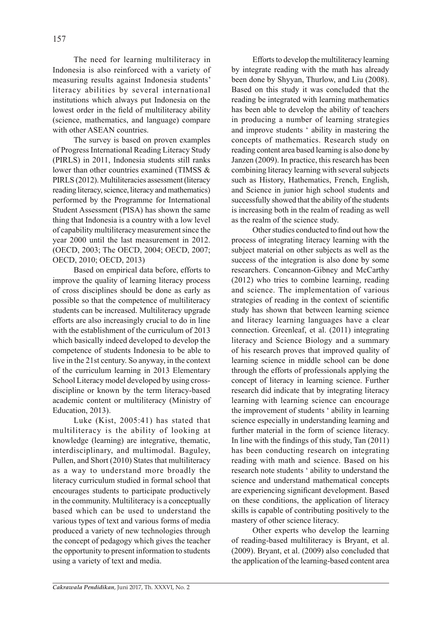The need for learning multiliteracy in Indonesia is also reinforced with a variety of measuring results against Indonesia students' literacy abilities by several international institutions which always put Indonesia on the lowest order in the field of multiliteracy ability (science, mathematics, and language) compare with other ASEAN countries.

The survey is based on proven examples of Progress International Reading Literacy Study (PIRLS) in 2011, Indonesia students still ranks lower than other countries examined (TIMSS & PIRLS (2012). Multiliteracies assessment (literacy reading literacy, science, literacy and mathematics) performed by the Programme for International Student Assessment (PISA) has shown the same thing that Indonesia is a country with a low level of capability multiliteracy measurement since the year 2000 until the last measurement in 2012. (OECD, 2003; The OECD, 2004; OECD, 2007; OECD, 2010; OECD, 2013)

Based on empirical data before, efforts to improve the quality of learning literacy process of cross disciplines should be done as early as possible so that the competence of multiliteracy students can be increased. Multiliteracy upgrade efforts are also increasingly crucial to do in line with the establishment of the curriculum of 2013 which basically indeed developed to develop the competence of students Indonesia to be able to live in the 21st century. So anyway, in the context of the curriculum learning in 2013 Elementary School Literacy model developed by using crossdiscipline or known by the term literacy-based academic content or multiliteracy (Ministry of Education, 2013).

Luke (Kist, 2005:41) has stated that multiliteracy is the ability of looking at knowledge (learning) are integrative, thematic, interdisciplinary, and multimodal. Baguley, Pullen, and Short (2010) States that multiliteracy as a way to understand more broadly the literacy curriculum studied in formal school that encourages students to participate productively in the community. Multiliteracy is a conceptually based which can be used to understand the various types of text and various forms of media produced a variety of new technologies through the concept of pedagogy which gives the teacher the opportunity to present information to students using a variety of text and media.

Efforts to develop the multiliteracy learning by integrate reading with the math has already been done by Shyyan, Thurlow, and Liu (2008). Based on this study it was concluded that the reading be integrated with learning mathematics has been able to develop the ability of teachers in producing a number of learning strategies and improve students ' ability in mastering the concepts of mathematics. Research study on reading content area based learning is also done by Janzen (2009). In practice, this research has been combining literacy learning with several subjects such as History, Hathematics, French, English, and Science in junior high school students and successfully showed that the ability of the students is increasing both in the realm of reading as well as the realm of the science study.

Other studies conducted to find out how the process of integrating literacy learning with the subject material on other subjects as well as the success of the integration is also done by some researchers. Concannon-Gibney and McCarthy (2012) who tries to combine learning, reading and science. The implementation of various strategies of reading in the context of scientific study has shown that between learning science and literacy learning languages have a clear connection. Greenleaf, et al. (2011) integrating literacy and Science Biology and a summary of his research proves that improved quality of learning science in middle school can be done through the efforts of professionals applying the concept of literacy in learning science. Further research did indicate that by integrating literacy learning with learning science can encourage the improvement of students ' ability in learning science especially in understanding learning and further material in the form of science literacy. In line with the findings of this study, Tan (2011) has been conducting research on integrating reading with math and science. Based on his research note students ' ability to understand the science and understand mathematical concepts are experiencing significant development. Based on these conditions, the application of literacy skills is capable of contributing positively to the mastery of other science literacy.

Other experts who develop the learning of reading-based multiliteracy is Bryant, et al. (2009). Bryant, et al. (2009) also concluded that the application of the learning-based content area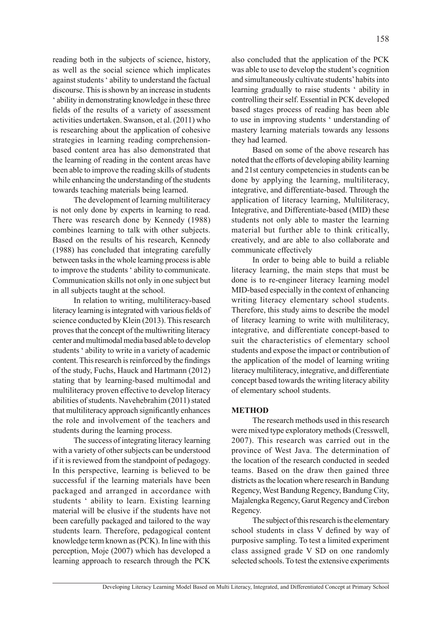reading both in the subjects of science, history, as well as the social science which implicates against students ' ability to understand the factual discourse. This is shown by an increase in students ' ability in demonstrating knowledge in these three fields of the results of a variety of assessment activities undertaken. Swanson, et al. (2011) who is researching about the application of cohesive strategies in learning reading comprehensionbased content area has also demonstrated that the learning of reading in the content areas have been able to improve the reading skills of students while enhancing the understanding of the students towards teaching materials being learned.

The development of learning multiliteracy is not only done by experts in learning to read. There was research done by Kennedy (1988) combines learning to talk with other subjects. Based on the results of his research, Kennedy (1988) has concluded that integrating carefully between tasks in the whole learning process is able to improve the students ' ability to communicate. Communication skills not only in one subject but in all subjects taught at the school.

In relation to writing, multiliteracy-based literacy learning is integrated with various fields of science conducted by Klein (2013). This research proves that the concept of the multiwriting literacy center and multimodal media based able to develop students ' ability to write in a variety of academic content. This research is reinforced by the findings of the study, Fuchs, Hauck and Hartmann (2012) stating that by learning-based multimodal and multiliteracy proven effective to develop literacy abilities of students. Navehebrahim (2011) stated that multiliteracy approach significantly enhances the role and involvement of the teachers and students during the learning process.

The success of integrating literacy learning with a variety of other subjects can be understood if it is reviewed from the standpoint of pedagogy. In this perspective, learning is believed to be successful if the learning materials have been packaged and arranged in accordance with students ' ability to learn. Existing learning material will be elusive if the students have not been carefully packaged and tailored to the way students learn. Therefore, pedagogical content knowledge term known as (PCK). In line with this perception, Moje (2007) which has developed a learning approach to research through the PCK

also concluded that the application of the PCK was able to use to develop the student's cognition and simultaneously cultivate students' habits into learning gradually to raise students ' ability in controlling their self. Essential in PCK developed based stages process of reading has been able to use in improving students ' understanding of mastery learning materials towards any lessons they had learned.

Based on some of the above research has noted that the efforts of developing ability learning and 21st century competencies in students can be done by applying the learning, multiliteracy, integrative, and differentiate-based. Through the application of literacy learning, Multiliteracy, Integrative, and Differentiate-based (MID) these students not only able to master the learning material but further able to think critically, creatively, and are able to also collaborate and communicate effectively

In order to being able to build a reliable literacy learning, the main steps that must be done is to re-engineer literacy learning model MID-based especially in the context of enhancing writing literacy elementary school students. Therefore, this study aims to describe the model of literacy learning to write with multiliteracy, integrative, and differentiate concept-based to suit the characteristics of elementary school students and expose the impact or contribution of the application of the model of learning writing literacy multiliteracy, integrative, and differentiate concept based towards the writing literacy ability of elementary school students.

### **METHOD**

The research methods used in this research were mixed type exploratory methods (Cresswell, 2007). This research was carried out in the province of West Java. The determination of the location of the research conducted in seeded teams. Based on the draw then gained three districts as the location where research in Bandung Regency, West Bandung Regency, Bandung City, Majalengka Regency, Garut Regency and Cirebon Regency.

The subject of this research is the elementary school students in class V defined by way of purposive sampling. To test a limited experiment class assigned grade V SD on one randomly selected schools. To test the extensive experiments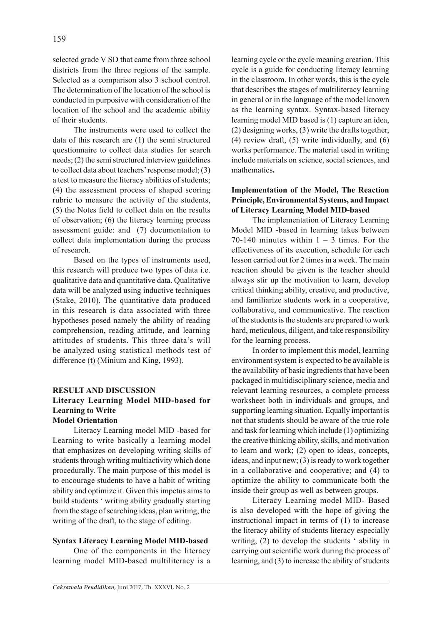selected grade V SD that came from three school districts from the three regions of the sample. Selected as a comparison also 3 school control. The determination of the location of the school is conducted in purposive with consideration of the location of the school and the academic ability of their students.

The instruments were used to collect the data of this research are (1) the semi structured questionnaire to collect data studies for search needs; (2) the semi structured interview guidelines to collect data about teachers' response model; (3) a test to measure the literacy abilities of students; (4) the assessment process of shaped scoring rubric to measure the activity of the students, (5) the Notes field to collect data on the results of observation; (6) the literacy learning process assessment guide: and (7) documentation to collect data implementation during the process of research.

Based on the types of instruments used, this research will produce two types of data i.e. qualitative data and quantitative data. Qualitative data will be analyzed using inductive techniques (Stake, 2010). The quantitative data produced in this research is data associated with three hypotheses posed namely the ability of reading comprehension, reading attitude, and learning attitudes of students. This three data's will be analyzed using statistical methods test of difference (t) (Minium and King, 1993).

### **RESULT AND DISCUSSION Literacy Learning Model MID-based for Learning to Write Model Orientation**

Literacy Learning model MID -based for Learning to write basically a learning model that emphasizes on developing writing skills of students through writing multiactivity which done procedurally. The main purpose of this model is to encourage students to have a habit of writing ability and optimize it. Given this impetus aims to build students ' writing ability gradually starting from the stage of searching ideas, plan writing, the writing of the draft, to the stage of editing.

## **Syntax Literacy Learning Model MID-based**

One of the components in the literacy learning model MID-based multiliteracy is a learning cycle or the cycle meaning creation. This cycle is a guide for conducting literacy learning in the classroom. In other words, this is the cycle that describes the stages of multiliteracy learning in general or in the language of the model known as the learning syntax. Syntax-based literacy learning model MID based is (1) capture an idea, (2) designing works, (3) write the drafts together, (4) review draft, (5) write individually, and (6) works performance. The material used in writing include materials on science, social sciences, and mathematics**.**

# **Implementation of the Model, The Reaction Principle, Environmental Systems, and Impact of Literacy Learning Model MID-based**

The implementation of Literacy Learning Model MID -based in learning takes between 70-140 minutes within  $1 - 3$  times. For the effectiveness of its execution, schedule for each lesson carried out for 2 times in a week. The main reaction should be given is the teacher should always stir up the motivation to learn, develop critical thinking ability, creative, and productive, and familiarize students work in a cooperative, collaborative, and communicative. The reaction of the students is the students are prepared to work hard, meticulous, diligent, and take responsibility for the learning process.

In order to implement this model, learning environment system is expected to be available is the availability of basic ingredients that have been packaged in multidisciplinary science, media and relevant learning resources, a complete process worksheet both in individuals and groups, and supporting learning situation. Equally important is not that students should be aware of the true role and task for learning which include (1) optimizing the creative thinking ability, skills, and motivation to learn and work; (2) open to ideas, concepts, ideas, and input new; (3) is ready to work together in a collaborative and cooperative; and (4) to optimize the ability to communicate both the inside their group as well as between groups.

Literacy Learning model MID- Based is also developed with the hope of giving the instructional impact in terms of (1) to increase the literacy ability of students literacy especially writing, (2) to develop the students ' ability in carrying out scientific work during the process of learning, and (3) to increase the ability of students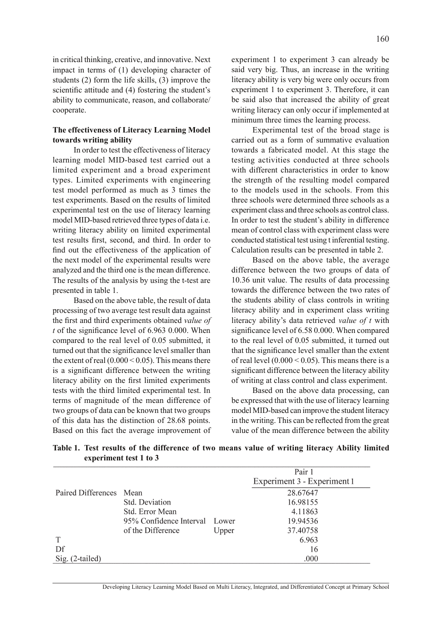in critical thinking, creative, and innovative. Next impact in terms of (1) developing character of students (2) form the life skills, (3) improve the scientific attitude and (4) fostering the student's ability to communicate, reason, and collaborate/ cooperate.

### **The effectiveness of Literacy Learning Model towards writing ability**

In order to test the effectiveness of literacy learning model MID-based test carried out a limited experiment and a broad experiment types. Limited experiments with engineering test model performed as much as 3 times the test experiments. Based on the results of limited experimental test on the use of literacy learning model MID-based retrieved three types of data i.e. writing literacy ability on limited experimental test results first, second, and third. In order to find out the effectiveness of the application of the next model of the experimental results were analyzed and the third one is the mean difference. The results of the analysis by using the t-test are presented in table 1.

Based on the above table, the result of data processing of two average test result data against the first and third experiments obtained *value of t* of the significance level of 6.963 0.000. When compared to the real level of 0.05 submitted, it turned out that the significance level smaller than the extent of real  $(0.000 \le 0.05)$ . This means there is a significant difference between the writing literacy ability on the first limited experiments tests with the third limited experimental test. In terms of magnitude of the mean difference of two groups of data can be known that two groups of this data has the distinction of 28.68 points. Based on this fact the average improvement of

experiment 1 to experiment 3 can already be said very big. Thus, an increase in the writing literacy ability is very big were only occurs from experiment 1 to experiment 3. Therefore, it can be said also that increased the ability of great writing literacy can only occur if implemented at minimum three times the learning process.

Experimental test of the broad stage is carried out as a form of summative evaluation towards a fabricated model. At this stage the testing activities conducted at three schools with different characteristics in order to know the strength of the resulting model compared to the models used in the schools. From this three schools were determined three schools as a experiment class and three schools as control class. In order to test the student's ability in difference mean of control class with experiment class were conducted statistical test using t inferential testing. Calculation results can be presented in table 2.

Based on the above table, the average difference between the two groups of data of 10.36 unit value. The results of data processing towards the difference between the two rates of the students ability of class controls in writing literacy ability and in experiment class writing literacy ability's data retrieved *value of t* with significance level of 6.58 0.000. When compared to the real level of 0.05 submitted, it turned out that the significance level smaller than the extent of real level  $(0.000 < 0.05)$ . This means there is a significant difference between the literacy ability of writing at class control and class experiment.

Based on the above data processing, can be expressed that with the use of literacy learning model MID-based can improve the student literacy in the writing. This can be reflected from the great value of the mean difference between the ability

|                         |                               |       | Pair 1                      |  |
|-------------------------|-------------------------------|-------|-----------------------------|--|
|                         |                               |       | Experiment 3 - Experiment 1 |  |
| Paired Differences Mean |                               |       | 28.67647                    |  |
|                         | Std. Deviation                |       | 16.98155                    |  |
|                         | Std. Error Mean               |       | 4.11863                     |  |
|                         | 95% Confidence Interval Lower |       | 19.94536                    |  |
|                         | of the Difference             | Upper | 37.40758                    |  |
|                         |                               |       | 6.963                       |  |
| Df                      |                               |       | 16                          |  |
| Sig. (2-tailed)         |                               |       | .000                        |  |

**Table 1. Test results of the difference of two means value of writing literacy Ability limited experiment test 1 to 3**

Developing Literacy Learning Model Based on Multi Literacy, Integrated, and Differentiated Concept at Primary School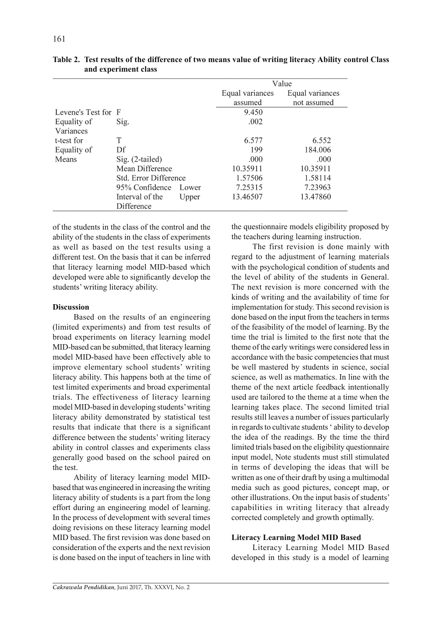|                     |                       |       | Value           |                 |  |
|---------------------|-----------------------|-------|-----------------|-----------------|--|
|                     |                       |       | Equal variances | Equal variances |  |
|                     |                       |       | assumed         | not assumed     |  |
| Levene's Test for F |                       |       | 9.450           |                 |  |
| Equality of         | Sig.                  |       | .002            |                 |  |
| Variances           |                       |       |                 |                 |  |
| t-test for          | T                     |       | 6.577           | 6.552           |  |
| Equality of         | Df                    |       | 199             | 184.006         |  |
| Means               | Sig. (2-tailed)       |       | .000            | .000            |  |
|                     | Mean Difference       |       | 10.35911        | 10.35911        |  |
|                     | Std. Error Difference |       | 1.57506         | 1.58114         |  |
|                     | 95% Confidence        | Lower | 7.25315         | 7.23963         |  |
|                     | Interval of the       | Upper | 13.46507        | 13.47860        |  |
|                     | Difference            |       |                 |                 |  |

**Table 2. Test results of the difference of two means value of writing literacy Ability control Class and experiment class**

of the students in the class of the control and the ability of the students in the class of experiments as well as based on the test results using a different test. On the basis that it can be inferred that literacy learning model MID-based which developed were able to significantly develop the students' writing literacy ability.

### **Discussion**

Based on the results of an engineering (limited experiments) and from test results of broad experiments on literacy learning model MID-based can be submitted, that literacy learning model MID-based have been effectively able to improve elementary school students' writing literacy ability. This happens both at the time of test limited experiments and broad experimental trials. The effectiveness of literacy learning model MID-based in developing students' writing literacy ability demonstrated by statistical test results that indicate that there is a significant difference between the students' writing literacy ability in control classes and experiments class generally good based on the school paired on the test.

Ability of literacy learning model MIDbased that was engineered in increasing the writing literacy ability of students is a part from the long effort during an engineering model of learning. In the process of development with several times doing revisions on these literacy learning model MID based. The first revision was done based on consideration of the experts and the next revision is done based on the input of teachers in line with the questionnaire models eligibility proposed by the teachers during learning instruction.

The first revision is done mainly with regard to the adjustment of learning materials with the psychological condition of students and the level of ability of the students in General. The next revision is more concerned with the kinds of writing and the availability of time for implementation for study. This second revision is done based on the input from the teachers in terms of the feasibility of the model of learning. By the time the trial is limited to the first note that the theme of the early writings were considered less in accordance with the basic competencies that must be well mastered by students in science, social science, as well as mathematics. In line with the theme of the next article feedback intentionally used are tailored to the theme at a time when the learning takes place. The second limited trial results still leaves a number of issues particularly in regards to cultivate students ' ability to develop the idea of the readings. By the time the third limited trials based on the eligibility questionnaire input model, Note students must still stimulated in terms of developing the ideas that will be written as one of their draft by using a multimodal media such as good pictures, concept map, or other illustrations. On the input basis of students' capabilities in writing literacy that already corrected completely and growth optimally.

#### **Literacy Learning Model MID Based**

Literacy Learning Model MID Based developed in this study is a model of learning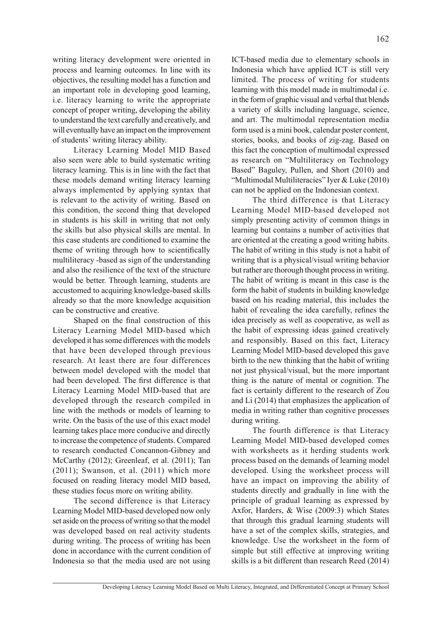writing literacy development were oriented in process and learning outcomes. In line with its objectives, the resulting model has a function and an important role in developing good learning, i.e. literacy learning to write the appropriate concept of proper writing, developing the ability to understand the text carefully and creatively, and will eventually have an impact on the improvement of students' writing literacy ability.

Literacy Learning Model MID Based also seen were able to build systematic writing literacy learning. This is in line with the fact that these models demand writing literacy learning always implemented by applying syntax that is relevant to the activity of writing. Based on this condition, the second thing that developed in students is his skill in writing that not only the skills but also physical skills are mental. In this case students are conditioned to examine the theme of writing through how to scientifically multiliteracy -based as sign of the understanding and also the resilience of the text of the structure would be better. Through learning, students are accustomed to acquiring knowledge-based skills already so that the more knowledge acquisition can be constructive and creative.

Shaped on the final construction of this Literacy Learning Model MID-based which developed it has some differences with the models that have been developed through previous research. At least there are four differences between model developed with the model that had been developed. The first difference is that Literacy Learning Model MID-based that are developed through the research compiled in line with the methods or models of learning to write. On the basis of the use of this exact model learning takes place more conducive and directly to increase the competence of students. Compared to research conducted Concannon-Gibney and McCarthy (2012); Greenleaf, et al. (2011); Tan  $(2011)$ ; Swanson, et al.  $(2011)$  which more focused on reading literacy model MID based, these studies focus more on writing ability.

The second difference is that Literacy Learning Model MID-based developed now only set aside on the process of writing so that the model was developed based on real activity students during writing. The process of writing has been done in accordance with the current condition of Indonesia so that the media used are not using

ICT-based media due to elementary schools in Indonesia which have applied ICT is still very limited. The process of writing for students learning with this model made in multimodal i.e. in the form of graphic visual and verbal that blends a variety of skills including language, science, and art. The multimodal representation media form used is a mini book, calendar poster content, stories, books, and books of zig-zag. Based on this fact the conception of multimodal expressed as research on "Multiliteracy on Technology Based" Baguley, Pullen, and Short (2010) and "Multimodal Multiliteracies" Iyer & Luke (2010) can not be applied on the Indonesian context.

The third difference is that Literacy Learning Model MID-based developed not simply presenting activity of common things in learning but contains a number of activities that are oriented at the creating a good writing habits. The habit of writing in this study is not a habit of writing that is a physical/visual writing behavior but rather are thorough thought process in writing. The habit of writing is meant in this case is the form the habit of students in building knowledge based on his reading material, this includes the habit of revealing the idea carefully, refines the idea precisely as well as cooperative, as well as the habit of expressing ideas gained creatively and responsibly. Based on this fact, Literacy Learning Model MID-based developed this gave birth to the new thinking that the habit of writing not just physical/visual, but the more important thing is the nature of mental or cognition. The fact is certainly different to the research of Zou and Li (2014) that emphasizes the application of media in writing rather than cognitive processes during writing.

The fourth difference is that Literacy Learning Model MID-based developed comes with worksheets as it herding students work process based on the demands of learning model developed. Using the worksheet process will have an impact on improving the ability of students directly and gradually in line with the principle of gradual learning as expressed by Axfor, Harders, & Wise (2009:3) which States that through this gradual learning students will have a set of the complex skills, strategies, and knowledge. Use the worksheet in the form of simple but still effective at improving writing skills is a bit different than research Reed (2014)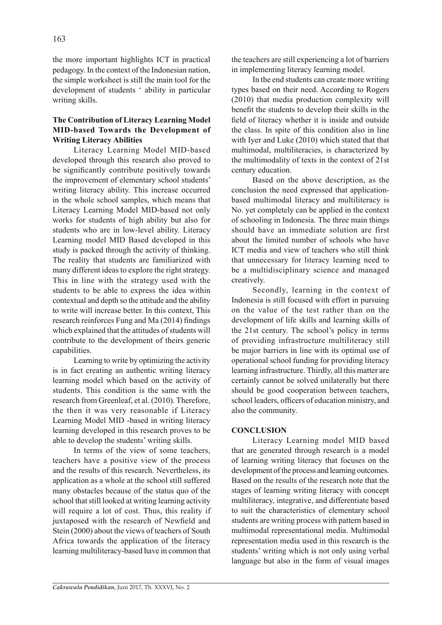the more important highlights ICT in practical pedagogy. In the context of the Indonesian nation, the simple worksheet is still the main tool for the development of students ' ability in particular writing skills.

# **The Contribution of Literacy Learning Model MID-based Towards the Development of Writing Literacy Abilities**

Literacy Learning Model MID-based developed through this research also proved to be significantly contribute positively towards the improvement of elementary school students' writing literacy ability. This increase occurred in the whole school samples, which means that Literacy Learning Model MID-based not only works for students of high ability but also for students who are in low-level ability. Literacy Learning model MID Based developed in this study is packed through the activity of thinking. The reality that students are familiarized with many different ideas to explore the right strategy. This in line with the strategy used with the students to be able to express the idea within contextual and depth so the attitude and the ability to write will increase better. In this context, This research reinforces Fung and Ma (2014) findings which explained that the attitudes of students will contribute to the development of theirs generic capabilities.

Learning to write by optimizing the activity is in fact creating an authentic writing literacy learning model which based on the activity of students. This condition is the same with the research from Greenleaf, et al. (2010). Therefore, the then it was very reasonable if Literacy Learning Model MID -based in writing literacy learning developed in this research proves to be able to develop the students' writing skills.

In terms of the view of some teachers, teachers have a positive view of the process and the results of this research. Nevertheless, its application as a whole at the school still suffered many obstacles because of the status quo of the school that still looked at writing learning activity will require a lot of cost. Thus, this reality if juxtaposed with the research of Newfield and Stein (2000) about the views of teachers of South Africa towards the application of the literacy learning multiliteracy-based have in common that the teachers are still experiencing a lot of barriers in implementing literacy learning model.

In the end students can create more writing types based on their need. According to Rogers (2010) that media production complexity will benefit the students to develop their skills in the field of literacy whether it is inside and outside the class. In spite of this condition also in line with Iyer and Luke (2010) which stated that that multimodal, multiliteracies, is characterized by the multimodality of texts in the context of 21st century education.

Based on the above description, as the conclusion the need expressed that applicationbased multimodal literacy and multiliteracy is No. yet completely can be applied in the context of schooling in Indonesia. The three main things should have an immediate solution are first about the limited number of schools who have ICT media and view of teachers who still think that unnecessary for literacy learning need to be a multidisciplinary science and managed creatively.

Secondly, learning in the context of Indonesia is still focused with effort in pursuing on the value of the test rather than on the development of life skills and learning skills of the 21st century. The school's policy in terms of providing infrastructure multiliteracy still be major barriers in line with its optimal use of operational school funding for providing literacy learning infrastructure. Thirdly, all this matter are certainly cannot be solved unilaterally but there should be good cooperation between teachers, school leaders, officers of education ministry, and also the community.

## **CONCLUSION**

Literacy Learning model MID based that are generated through research is a model of learning writing literacy that focuses on the development of the process and learning outcomes. Based on the results of the research note that the stages of learning writing literacy with concept multiliteracy, integrative, and differentiate based to suit the characteristics of elementary school students are writing process with pattern based in multimodal representational media. Multimodal representation media used in this research is the students' writing which is not only using verbal language but also in the form of visual images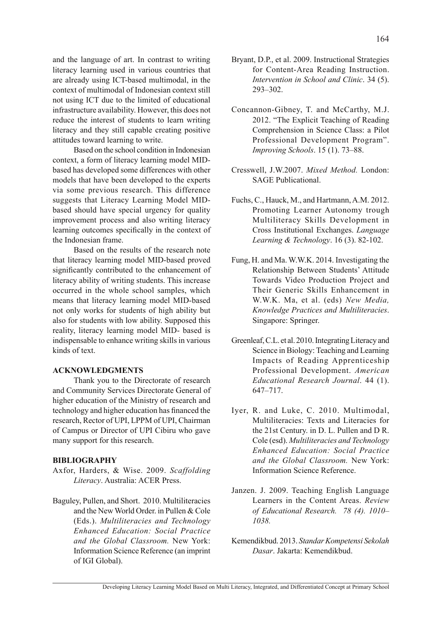and the language of art. In contrast to writing literacy learning used in various countries that are already using ICT-based multimodal, in the context of multimodal of Indonesian context still not using ICT due to the limited of educational infrastructure availability. However, this does not reduce the interest of students to learn writing literacy and they still capable creating positive attitudes toward learning to write.

Based on the school condition in Indonesian context, a form of literacy learning model MIDbased has developed some differences with other models that have been developed to the experts via some previous research. This difference suggests that Literacy Learning Model MIDbased should have special urgency for quality improvement process and also writing literacy learning outcomes specifically in the context of the Indonesian frame.

Based on the results of the research note that literacy learning model MID-based proved significantly contributed to the enhancement of literacy ability of writing students. This increase occurred in the whole school samples, which means that literacy learning model MID-based not only works for students of high ability but also for students with low ability. Supposed this reality, literacy learning model MID- based is indispensable to enhance writing skills in various kinds of text.

### **ACKNOWLEDGMENTS**

Thank you to the Directorate of research and Community Services Directorate General of higher education of the Ministry of research and technology and higher education has financed the research, Rector of UPI, LPPM of UPI, Chairman of Campus or Director of UPI Cibiru who gave many support for this research.

#### **BIBLIOGRAPHY**

- Axfor, Harders, & Wise. 2009. *Scaffolding Literacy*. Australia: ACER Press.
- Baguley, Pullen, and Short. 2010. Multiliteracies and the New World Order. in Pullen & Cole (Eds.). *Multiliteracies and Technology Enhanced Education: Social Practice and the Global Classroom.* New York: Information Science Reference (an imprint of IGI Global).
- Bryant, D.P., et al. 2009. Instructional Strategies for Content-Area Reading Instruction. *Intervention in School and Clinic*. 34 (5). 293–302.
- Concannon-Gibney, T. and McCarthy, M.J. 2012. "The Explicit Teaching of Reading Comprehension in Science Class: a Pilot Professional Development Program". *Improving Schools*. 15 (1). 73–88.
- Cresswell, J.W.2007. *Mixed Method.* London: SAGE Publicational.
- Fuchs, C., Hauck, M., and Hartmann, A.M. 2012. Promoting Learner Autonomy trough Multiliteracy Skills Development in Cross Institutional Exchanges. *Language Learning & Technology*. 16 (3). 82-102.
- Fung, H. and Ma. W.W.K. 2014. Investigating the Relationship Between Students' Attitude Towards Video Production Project and Their Generic Skills Enhancement in W.W.K. Ma, et al. (eds) *New Media, Knowledge Practices and Multiliteracies*. Singapore: Springer.
- Greenleaf, C.L. et al. 2010. Integrating Literacy and Science in Biology: Teaching and Learning Impacts of Reading Apprenticeship Professional Development. *American Educational Research Journal*. 44 (1). 647–717.
- Iyer, R. and Luke, C. 2010. Multimodal, Multiliteracies: Texts and Literacies for the 21st Century. in D. L. Pullen and D R. Cole (esd). *Multiliteracies and Technology Enhanced Education: Social Practice and the Global Classroom.* New York: Information Science Reference.
- Janzen. J. 2009. Teaching English Language Learners in the Content Areas. *Review of Educational Research. 78 (4). 1010– 1038.*
- Kemendikbud. 2013. *Standar Kompetensi Sekolah Dasar*. Jakarta: Kemendikbud.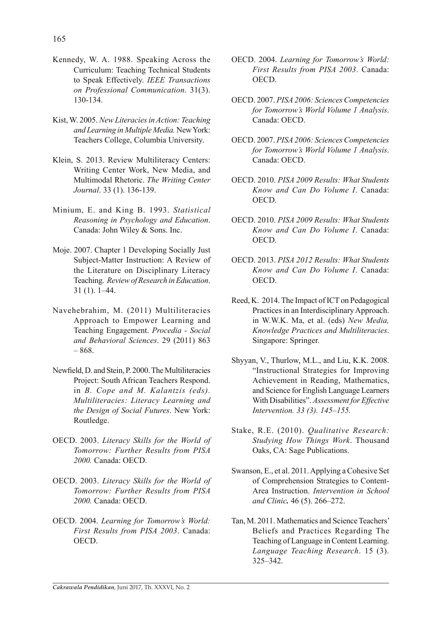- Kennedy, W. A. 1988. Speaking Across the Curriculum: Teaching Technical Students to Speak Effectively. *IEEE Transactions on Professional Communication*. 31(3). 130-134.
- Kist, W. 2005. *New Literacies in Action: Teaching and Learning in Multiple Media.* New York: Teachers College, Columbia University.
- Klein, S. 2013. Review Multiliteracy Centers: Writing Center Work, New Media, and Multimodal Rhetoric. *The Writing Center Journal*. 33 (1). 136-139.
- Minium, E. and King B. 1993. *Statistical Reasoning in Psychology and Education*. Canada: John Wiley & Sons. Inc.
- Moje. 2007. Chapter 1 Developing Socially Just Subject-Matter Instruction: A Review of the Literature on Disciplinary Literacy Teaching. *Review of Research in Education*. 31 (1). 1–44.
- Navehebrahim, M. (2011) Multiliteracies Approach to Empower Learning and Teaching Engagement. *Procedia - Social and Behavioral Sciences*. 29 (2011) 863 – 868.
- Newfield, D. and Stein, P. 2000. The Multiliteracies Project: South African Teachers Respond. in *B. Cope and M. Kalantzis (eds). Multiliteracies: Literacy Learning and the Design of Social Futures*. New York: Routledge.
- OECD. 2003. *Literacy Skills for the World of Tomorrow: Further Results from PISA 2000.* Canada: OECD.
- OECD. 2003. *Literacy Skills for the World of Tomorrow: Further Results from PISA 2000.* Canada: OECD.
- OECD. 2004. *Learning for Tomorrow's World: First Results from PISA 2003*. Canada: OECD.
- OECD. 2004. *Learning for Tomorrow's World: First Results from PISA 2003*. Canada: OECD.
- OECD. 2007. *PISA 2006: Sciences Competencies for Tomorrow's World Volume 1 Analysis*. Canada: OECD.
- OECD. 2007. *PISA 2006: Sciences Competencies for Tomorrow's World Volume 1 Analysis*. Canada: OECD.
- OECD. 2010. *PISA 2009 Results: What Students Know and Can Do Volume I*. Canada: OECD.
- OECD. 2010. *PISA 2009 Results: What Students Know and Can Do Volume I*. Canada: OECD.
- OECD. 2013. *PISA 2012 Results: What Students Know and Can Do Volume I*. Canada: OECD.
- Reed, K. 2014. The Impact of ICT on Pedagogical Practices in an Interdisciplinary Approach. in W.W.K. Ma, et al. (eds) *New Media, Knowledge Practices and Multiliteracies*. Singapore: Springer.
- Shyyan, V., Thurlow, M.L., and Liu, K.K. 2008. "Instructional Strategies for Improving Achievement in Reading, Mathematics, and Science for English Language Learners With Disabilities". *Assessment for Effective Intervention. 33 (3). 145–155.*
- Stake, R.E. (2010). *Qualitative Research: Studying How Things Work*. Thousand Oaks, CA: Sage Publications.
- Swanson, E., et al. 2011. Applying a Cohesive Set of Comprehension Strategies to Content-Area Instruction. *Intervention in School and Clinic.* 46 (5). 266–272.
- Tan, M. 2011. Mathematics and Science Teachers' Beliefs and Practices Regarding The Teaching of Language in Content Learning. *Language Teaching Research*. 15 (3). 325–342.